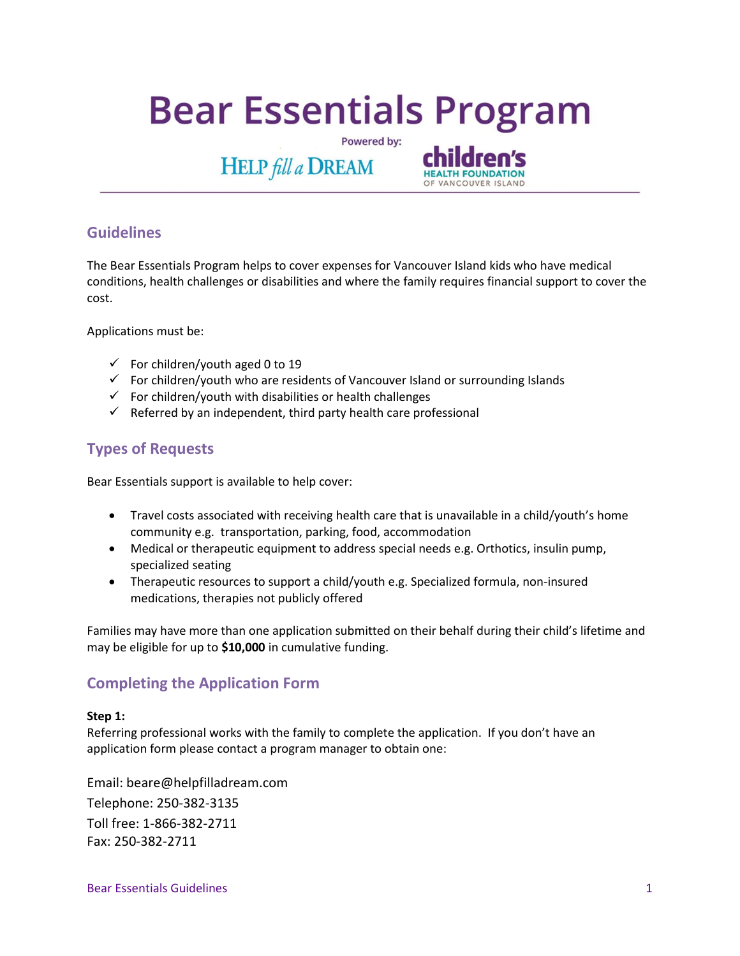# **Bear Essentials Program**

Powered by:



# **Guidelines**

The Bear Essentials Program helps to cover expenses for Vancouver Island kids who have medical conditions, health challenges or disabilities and where the family requires financial support to cover the cost.

Applications must be:

- $\checkmark$  For children/youth aged 0 to 19
- $\checkmark$  For children/youth who are residents of Vancouver Island or surrounding Islands
- $\checkmark$  For children/youth with disabilities or health challenges
- $\checkmark$  Referred by an independent, third party health care professional

**HELP** fill a DREAM

# **Types of Requests**

Bear Essentials support is available to help cover:

- Travel costs associated with receiving health care that is unavailable in a child/youth's home community e.g. transportation, parking, food, accommodation
- Medical or therapeutic equipment to address special needs e.g. Orthotics, insulin pump, specialized seating
- Therapeutic resources to support a child/youth e.g. Specialized formula, non-insured medications, therapies not publicly offered

Families may have more than one application submitted on their behalf during their child's lifetime and may be eligible for up to **\$10,000** in cumulative funding.

# **Completing the Application Form**

## **Step 1:**

Referring professional works with the family to complete the application. If you don't have an application form please contact a program manager to obtain one:

Email: beare@helpfilladream.com Telephone: 250-382-3135 Toll free: 1-866-382-2711 Fax: 250-382-2711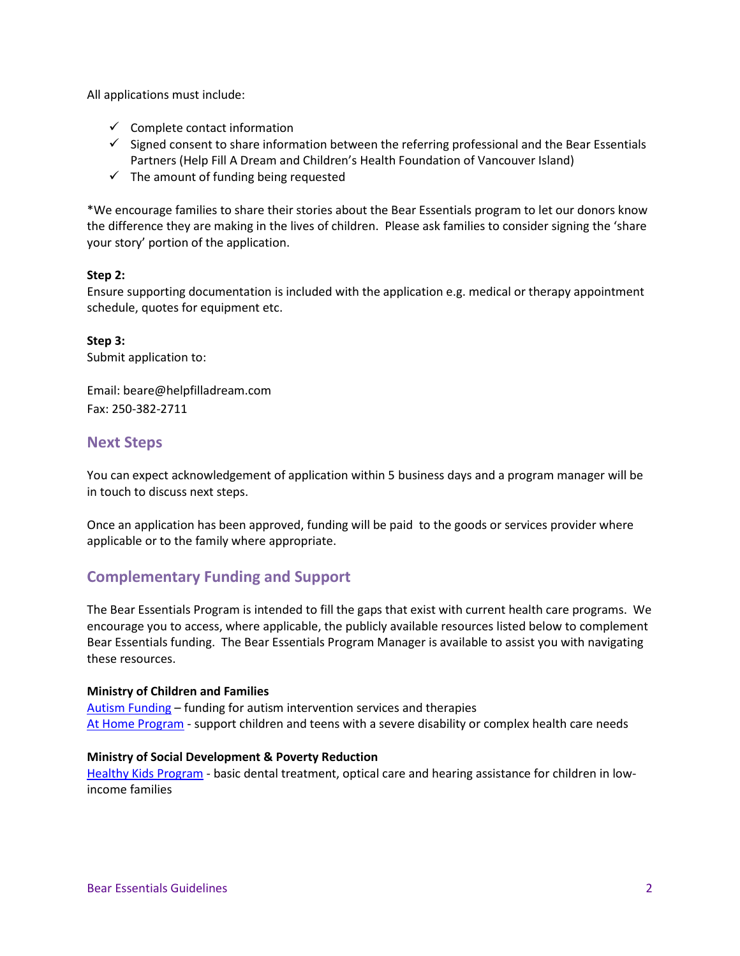All applications must include:

- $\checkmark$  Complete contact information
- $\checkmark$  Signed consent to share information between the referring professional and the Bear Essentials Partners (Help Fill A Dream and Children's Health Foundation of Vancouver Island)
- $\checkmark$  The amount of funding being requested

\*We encourage families to share their stories about the Bear Essentials program to let our donors know the difference they are making in the lives of children. Please ask families to consider signing the 'share your story' portion of the application.

## **Step 2:**

Ensure supporting documentation is included with the application e.g. medical or therapy appointment schedule, quotes for equipment etc.

**Step 3:**  Submit application to:

Email: beare@helpfilladream.com Fax: 250-382-2711

## **Next Steps**

You can expect acknowledgement of application within 5 business days and a program manager will be in touch to discuss next steps.

Once an application has been approved, funding will be paid to the goods or services provider where applicable or to the family where appropriate.

# **Complementary Funding and Support**

The Bear Essentials Program is intended to fill the gaps that exist with current health care programs. We encourage you to access, where applicable, the publicly available resources listed below to complement Bear Essentials funding. The Bear Essentials Program Manager is available to assist you with navigating these resources.

## **Ministry of Children and Families**

[Autism Funding](https://www2.gov.bc.ca/gov/content/health/managing-your-health/healthy-women-children/child-behaviour-development/special-needs/autism-spectrum-disorder/autism-funding) – funding for autism intervention services and therapies [At Home Program](https://www2.gov.bc.ca/gov/content/health/managing-your-health/healthy-women-children/child-behaviour-development/special-needs/complex-health-needs/at-home-program) - support children and teens with a severe disability or complex health care needs

## **Ministry of Social Development & Poverty Reduction**

[Healthy Kids Program](https://www2.gov.bc.ca/gov/content/governments/policies-for-government/bcea-policy-and-procedure-manual/health-supplements-and-programs/healthy-kids?keyword=healthy&keyword=kids&keyword=program) - basic dental treatment, optical care and hearing assistance for children in lowincome families